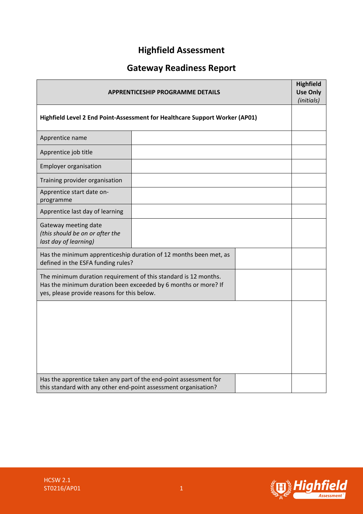# **Highfield Assessment**

# **Gateway Readiness Report**

| <b>APPRENTICESHIP PROGRAMME DETAILS</b>                                                                                                                                          |                                                                   |  | <b>Highfield</b><br><b>Use Only</b><br>(initials) |
|----------------------------------------------------------------------------------------------------------------------------------------------------------------------------------|-------------------------------------------------------------------|--|---------------------------------------------------|
| Highfield Level 2 End Point-Assessment for Healthcare Support Worker (AP01)                                                                                                      |                                                                   |  |                                                   |
| Apprentice name                                                                                                                                                                  |                                                                   |  |                                                   |
| Apprentice job title                                                                                                                                                             |                                                                   |  |                                                   |
| <b>Employer organisation</b>                                                                                                                                                     |                                                                   |  |                                                   |
| Training provider organisation                                                                                                                                                   |                                                                   |  |                                                   |
| Apprentice start date on-<br>programme                                                                                                                                           |                                                                   |  |                                                   |
| Apprentice last day of learning                                                                                                                                                  |                                                                   |  |                                                   |
| Gateway meeting date<br>(this should be on or after the<br>last day of learning)                                                                                                 |                                                                   |  |                                                   |
| defined in the ESFA funding rules?                                                                                                                                               | Has the minimum apprenticeship duration of 12 months been met, as |  |                                                   |
| The minimum duration requirement of this standard is 12 months.<br>Has the minimum duration been exceeded by 6 months or more? If<br>yes, please provide reasons for this below. |                                                                   |  |                                                   |
|                                                                                                                                                                                  |                                                                   |  |                                                   |
|                                                                                                                                                                                  |                                                                   |  |                                                   |
|                                                                                                                                                                                  |                                                                   |  |                                                   |
|                                                                                                                                                                                  |                                                                   |  |                                                   |
| Has the apprentice taken any part of the end-point assessment for<br>this standard with any other end-point assessment organisation?                                             |                                                                   |  |                                                   |

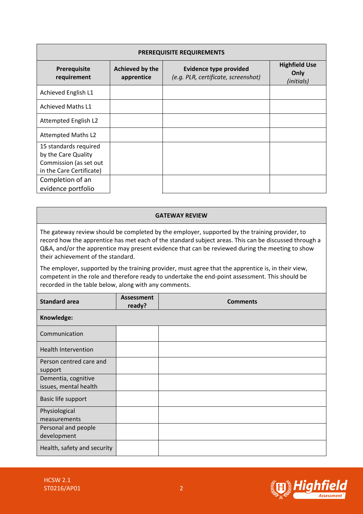| <b>PREREQUISITE REQUIREMENTS</b>                                                                   |                               |                                                                      |                                            |
|----------------------------------------------------------------------------------------------------|-------------------------------|----------------------------------------------------------------------|--------------------------------------------|
| Prerequisite<br>requirement                                                                        | Achieved by the<br>apprentice | <b>Evidence type provided</b><br>(e.g. PLR, certificate, screenshot) | <b>Highfield Use</b><br>Only<br>(initials) |
| Achieved English L1                                                                                |                               |                                                                      |                                            |
| <b>Achieved Maths L1</b>                                                                           |                               |                                                                      |                                            |
| Attempted English L2                                                                               |                               |                                                                      |                                            |
| <b>Attempted Maths L2</b>                                                                          |                               |                                                                      |                                            |
| 15 standards required<br>by the Care Quality<br>Commission (as set out<br>in the Care Certificate) |                               |                                                                      |                                            |
| Completion of an<br>evidence portfolio                                                             |                               |                                                                      |                                            |

#### **GATEWAY REVIEW**

The gateway review should be completed by the employer, supported by the training provider, to record how the apprentice has met each of the standard subject areas. This can be discussed through a Q&A, and/or the apprentice may present evidence that can be reviewed during the meeting to show their achievement of the standard.

The employer, supported by the training provider, must agree that the apprentice is, in their view, competent in the role and therefore ready to undertake the end-point assessment. This should be recorded in the table below, along with any comments.

| <b>Standard area</b>                         | <b>Assessment</b><br>ready? | <b>Comments</b> |
|----------------------------------------------|-----------------------------|-----------------|
| Knowledge:                                   |                             |                 |
| Communication                                |                             |                 |
| <b>Health Intervention</b>                   |                             |                 |
| Person centred care and<br>support           |                             |                 |
| Dementia, cognitive<br>issues, mental health |                             |                 |
| Basic life support                           |                             |                 |
| Physiological<br>measurements                |                             |                 |
| Personal and people<br>development           |                             |                 |
| Health, safety and security                  |                             |                 |

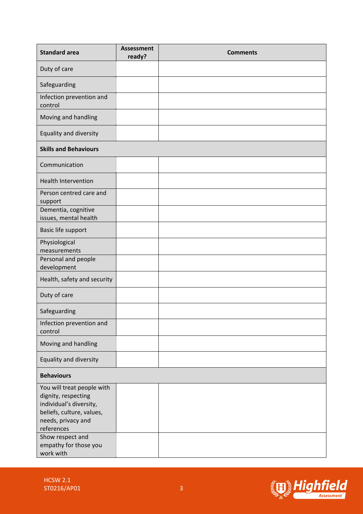| <b>Standard area</b>                                                                                                                                              | <b>Assessment</b><br>ready? | <b>Comments</b> |
|-------------------------------------------------------------------------------------------------------------------------------------------------------------------|-----------------------------|-----------------|
| Duty of care                                                                                                                                                      |                             |                 |
| Safeguarding                                                                                                                                                      |                             |                 |
| Infection prevention and<br>control                                                                                                                               |                             |                 |
| Moving and handling                                                                                                                                               |                             |                 |
| Equality and diversity                                                                                                                                            |                             |                 |
| <b>Skills and Behaviours</b>                                                                                                                                      |                             |                 |
| Communication                                                                                                                                                     |                             |                 |
| <b>Health Intervention</b>                                                                                                                                        |                             |                 |
| Person centred care and<br>support                                                                                                                                |                             |                 |
| Dementia, cognitive<br>issues, mental health                                                                                                                      |                             |                 |
| Basic life support                                                                                                                                                |                             |                 |
| Physiological<br>measurements                                                                                                                                     |                             |                 |
| Personal and people<br>development                                                                                                                                |                             |                 |
| Health, safety and security                                                                                                                                       |                             |                 |
| Duty of care                                                                                                                                                      |                             |                 |
| Safeguarding                                                                                                                                                      |                             |                 |
| Infection prevention and<br>control                                                                                                                               |                             |                 |
| Moving and handling                                                                                                                                               |                             |                 |
| Equality and diversity                                                                                                                                            |                             |                 |
| <b>Behaviours</b>                                                                                                                                                 |                             |                 |
| You will treat people with<br>dignity, respecting<br>individual's diversity,<br>beliefs, culture, values,<br>needs, privacy and<br>references<br>Show respect and |                             |                 |
| empathy for those you<br>work with                                                                                                                                |                             |                 |

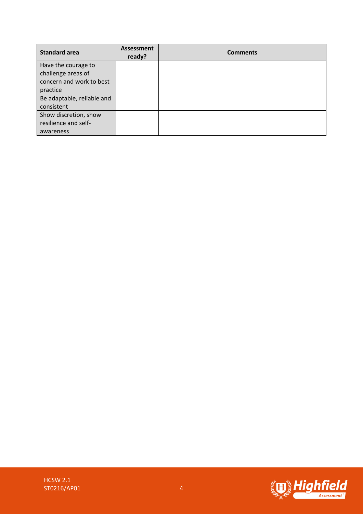| <b>Standard area</b>       | <b>Assessment</b><br>ready? | <b>Comments</b> |
|----------------------------|-----------------------------|-----------------|
| Have the courage to        |                             |                 |
| challenge areas of         |                             |                 |
| concern and work to best   |                             |                 |
| practice                   |                             |                 |
| Be adaptable, reliable and |                             |                 |
| consistent                 |                             |                 |
| Show discretion, show      |                             |                 |
| resilience and self-       |                             |                 |
| awareness                  |                             |                 |

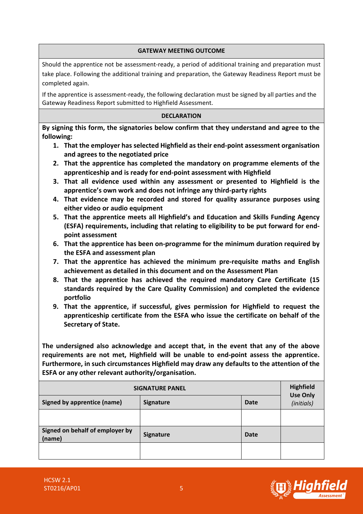### **GATEWAY MEETING OUTCOME**

Should the apprentice not be assessment-ready, a period of additional training and preparation must take place. Following the additional training and preparation, the Gateway Readiness Report must be completed again.

If the apprentice is assessment-ready, the following declaration must be signed by all parties and the Gateway Readiness Report submitted to Highfield Assessment.

### **DECLARATION**

**By signing this form, the signatories below confirm that they understand and agree to the following:**

- **1. That the employer has selected Highfield as their end-point assessment organisation and agrees to the negotiated price**
- **2. That the apprentice has completed the mandatory on programme elements of the apprenticeship and is ready for end-point assessment with Highfield**
- **3. That all evidence used within any assessment or presented to Highfield is the apprentice's own work and does not infringe any third-party rights**
- **4. That evidence may be recorded and stored for quality assurance purposes using either video or audio equipment**
- **5. That the apprentice meets all Highfield's and Education and Skills Funding Agency (ESFA) requirements, including that relating to eligibility to be put forward for endpoint assessment**
- **6. That the apprentice has been on-programme for the minimum duration required by the ESFA and assessment plan**
- **7. That the apprentice has achieved the minimum pre-requisite maths and English achievement as detailed in this document and on the Assessment Plan**
- **8. That the apprentice has achieved the required mandatory Care Certificate (15 standards required by the Care Quality Commission) and completed the evidence portfolio**
- **9. That the apprentice, if successful, gives permission for Highfield to request the apprenticeship certificate from the ESFA who issue the certificate on behalf of the Secretary of State.**

**The undersigned also acknowledge and accept that, in the event that any of the above requirements are not met, Highfield will be unable to end-point assess the apprentice. Furthermore, in such circumstances Highfield may draw any defaults to the attention of the ESFA or any other relevant authority/organisation.**

| <b>SIGNATURE PANEL</b>                    |                  |             | <b>Highfield</b><br><b>Use Only</b> |
|-------------------------------------------|------------------|-------------|-------------------------------------|
| Signed by apprentice (name)               | <b>Signature</b> | <b>Date</b> | (initials)                          |
|                                           |                  |             |                                     |
| Signed on behalf of employer by<br>(name) | <b>Signature</b> | <b>Date</b> |                                     |
|                                           |                  |             |                                     |